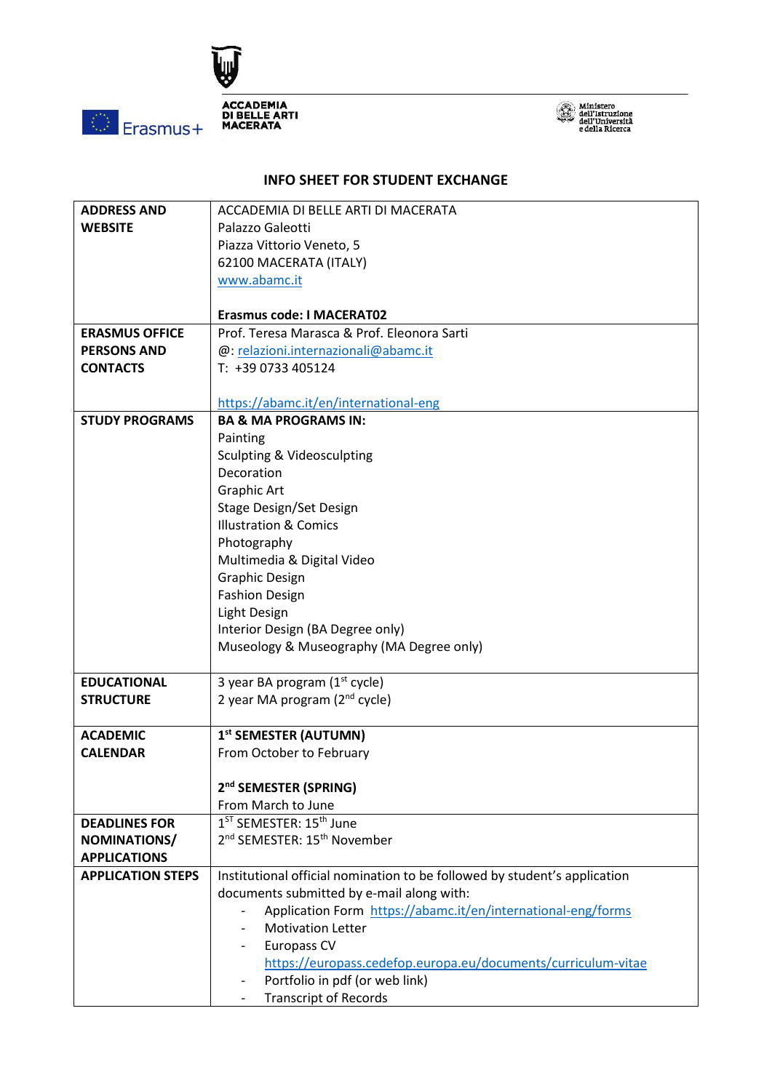



## **INFO SHEET FOR STUDENT EXCHANGE**

| <b>ADDRESS AND</b>       | ACCADEMIA DI BELLE ARTI DI MACERATA                                       |  |  |
|--------------------------|---------------------------------------------------------------------------|--|--|
| <b>WEBSITE</b>           | Palazzo Galeotti                                                          |  |  |
|                          | Piazza Vittorio Veneto, 5                                                 |  |  |
|                          | 62100 MACERATA (ITALY)                                                    |  |  |
|                          | www.abamc.it                                                              |  |  |
|                          |                                                                           |  |  |
|                          | <b>Erasmus code: I MACERAT02</b>                                          |  |  |
| <b>ERASMUS OFFICE</b>    | Prof. Teresa Marasca & Prof. Eleonora Sarti                               |  |  |
| <b>PERSONS AND</b>       | @: relazioni.internazionali@abamc.it                                      |  |  |
| <b>CONTACTS</b>          | T: +39 0733 405124                                                        |  |  |
|                          |                                                                           |  |  |
|                          | https://abamc.it/en/international-eng                                     |  |  |
| <b>STUDY PROGRAMS</b>    | <b>BA &amp; MA PROGRAMS IN:</b>                                           |  |  |
|                          | Painting                                                                  |  |  |
|                          | <b>Sculpting &amp; Videosculpting</b>                                     |  |  |
|                          | Decoration                                                                |  |  |
|                          | Graphic Art                                                               |  |  |
|                          | Stage Design/Set Design                                                   |  |  |
|                          | <b>Illustration &amp; Comics</b>                                          |  |  |
|                          | Photography                                                               |  |  |
|                          | Multimedia & Digital Video                                                |  |  |
|                          | <b>Graphic Design</b>                                                     |  |  |
|                          | <b>Fashion Design</b>                                                     |  |  |
|                          | Light Design                                                              |  |  |
|                          | Interior Design (BA Degree only)                                          |  |  |
|                          | Museology & Museography (MA Degree only)                                  |  |  |
|                          |                                                                           |  |  |
| <b>EDUCATIONAL</b>       | 3 year BA program $(1st$ cycle)                                           |  |  |
| <b>STRUCTURE</b>         | 2 year MA program (2 <sup>nd</sup> cycle)                                 |  |  |
|                          |                                                                           |  |  |
| <b>ACADEMIC</b>          | 1st SEMESTER (AUTUMN)                                                     |  |  |
| <b>CALENDAR</b>          | From October to February                                                  |  |  |
|                          |                                                                           |  |  |
|                          | 2 <sup>nd</sup> SEMESTER (SPRING)                                         |  |  |
|                          | From March to June                                                        |  |  |
| <b>DEADLINES FOR</b>     | 1 <sup>ST</sup> SEMESTER: 15 <sup>th</sup> June                           |  |  |
| NOMINATIONS/             | 2 <sup>nd</sup> SEMESTER: 15 <sup>th</sup> November                       |  |  |
| <b>APPLICATIONS</b>      |                                                                           |  |  |
| <b>APPLICATION STEPS</b> | Institutional official nomination to be followed by student's application |  |  |
|                          | documents submitted by e-mail along with:                                 |  |  |
|                          | Application Form https://abamc.it/en/international-eng/forms              |  |  |
|                          | <b>Motivation Letter</b>                                                  |  |  |
|                          | Europass CV                                                               |  |  |
|                          | https://europass.cedefop.europa.eu/documents/curriculum-vitae             |  |  |
|                          | Portfolio in pdf (or web link)                                            |  |  |
|                          | <b>Transcript of Records</b>                                              |  |  |